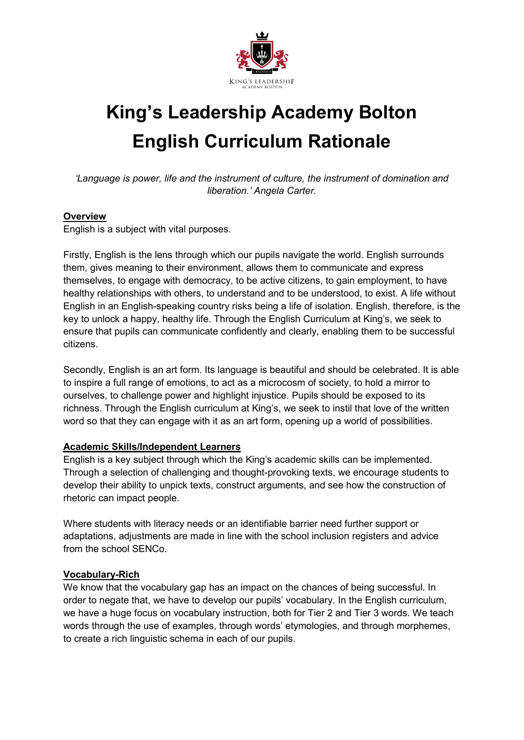

# **King's Leadership Academy Bolton English Curriculum Rationale**

*'Language is power, life and the instrument of culture, the instrument of domination and liberation.' Angela Carter.*

#### **Overview**

English is a subject with vital purposes.

Firstly, English is the lens through which our pupils navigate the world. English surrounds them, gives meaning to their environment, allows them to communicate and express themselves, to engage with democracy, to be active citizens, to gain employment, to have healthy relationships with others, to understand and to be understood, to exist. A life without English in an English-speaking country risks being a life of isolation. English, therefore, is the key to unlock a happy, healthy life. Through the English Curriculum at King's, we seek to ensure that pupils can communicate confidently and clearly, enabling them to be successful citizens.

Secondly, English is an art form. Its language is beautiful and should be celebrated. It is able to inspire a full range of emotions, to act as a microcosm of society, to hold a mirror to ourselves, to challenge power and highlight injustice. Pupils should be exposed to its richness. Through the English curriculum at King's, we seek to instil that love of the written word so that they can engage with it as an art form, opening up a world of possibilities.

#### **Academic Skills/Independent Learners**

English is a key subject through which the King's academic skills can be implemented. Through a selection of challenging and thought-provoking texts, we encourage students to develop their ability to unpick texts, construct arguments, and see how the construction of rhetoric can impact people.

Where students with literacy needs or an identifiable barrier need further support or adaptations, adjustments are made in line with the school inclusion registers and advice from the school SENCo.

#### **Vocabulary-Rich**

We know that the vocabulary gap has an impact on the chances of being successful. In order to negate that, we have to develop our pupils' vocabulary. In the English curriculum, we have a huge focus on vocabulary instruction, both for Tier 2 and Tier 3 words. We teach words through the use of examples, through words' etymologies, and through morphemes, to create a rich linguistic schema in each of our pupils.